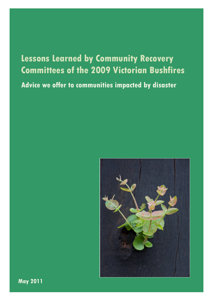# **Lessons Learned by Community Recovery Committees of the 2009 Victorian Bushfires Advice we offer to communities impacted by disaster**



**May 2011**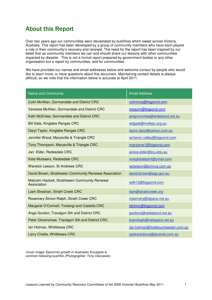# About this Report

Over two years ago our communities were devastated by bushfires which swept across Victoria, Australia. This report has been developed by a group of community members who have each played a role in their community's recovery and renewal. The need for the report has been inspired by our belief that as community members we can and should share our lessons with other communities impacted by disaster. This is not a formal report prepared by government bodies or any other organisation but a report by communities, and for communities.

We have provided our names and email addresses below and welcome contact by people who would like to learn more, or have questions about this document. Maintaining contact details is always difficult, so we note that the information below is accurate at April 2011.

| Name and Community                                           | <b>Email Address</b>             |
|--------------------------------------------------------------|----------------------------------|
| Colin McAllan, Gormandale and District CRC                   | colinmca@bigpond.com             |
| Vanessa McAllan, Gormandale and District CRC                 | nessym@bigpond.com               |
| Kath McEntee, Gormandale and District CRC                    | gregmcentee@wideband.net.au      |
| <b>Bill Gale, Kinglake Ranges CRC</b>                        | wdgale@melbpc.org.au             |
| Daryl Taylor, Kinglake Ranges CRC                            | taylor.daryl@yahoo.com.au        |
| Jennifer Wood, Marysville & Triangle CRC                     | acheron.valley@bigpond.com       |
| Tony Thompson, Marysville & Triangle CRC                     | marytone1@bigpond.com            |
| Jan Elder, Redesdale CRC                                     | janice.elder@jcu.edu.au          |
| Kate Mutsaers, Redesdale CRC                                 | oneglobalspirit@ymail.com        |
| <b>Warwick Leeson, St Andrews CRC</b>                        | wcleeson@primus.com.au           |
| David Brown, Strathewen Community Renewal Association        | david.brown@ags.gov.au           |
| Malcolm Hackett, Strathewen Community Renewal<br>Association | wdh12@bigpond.com                |
| Liam Sheahan, Strath Creek CRC                               | liam@strathcreek.org             |
| Rosemary Simon-Ralph, Strath Creek CRC                       | rosemary@alpaca.net.au           |
| Margaret O'Connell, Toolangi and Castella CRC                | tdchinc@bigpond.com              |
| Ange Gordon, Traralgon Sth and District CRC                  | gordons@wideband.net.au          |
| Peter Olorenshaw, Traralgon Sth and District CRC             | bramleigh@netspace.net.au        |
| Ian Holman, Whittlesea CRC                                   | ian.holman@melbournewater.com.au |
| Larry Challis, Whittlesea CRC                                | sacksolutions@ptusnet.com.au     |

*Cover image: Epicormic growth in Australian Eucalypts is common following bushfire (Photographer: Tony Owczarek).*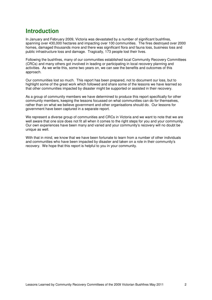# Introduction

In January and February 2009, Victoria was devastated by a number of significant bushfires, spanning over 430,000 hectares and impacting over 100 communities. The fires destroyed over 2000 homes, damaged thousands more and there was significant flora and fauna loss, business loss and public infrastructure loss and damage. Tragically, 173 people lost their lives.

Following the bushfires, many of our communities established local Community Recovery Committees (CRCs) and many others got involved in leading or participating in local recovery planning and activities. As we write this, some two years on, we can see the benefits and outcomes of this approach.

Our communities lost so much. This report has been prepared, not to document our loss, but to highlight some of the great work which followed and share some of the lessons we have learned so that other communities impacted by disaster might be supported or assisted in their recovery.

As a group of community members we have determined to produce this report specifically for other community members, keeping the lessons focussed on what communities can do for themselves, rather than on what we believe government and other organisations should do. Our lessons for government have been captured in a separate report.

We represent a diverse group of communities and CRCs in Victoria and we want to note that we are well aware that one size does not fit all when it comes to the right steps for you and your community. Our own experiences have been many and varied and your community's recovery will no doubt be unique as well.

With that in mind, we know that we have been fortunate to learn from a number of other individuals and communities who have been impacted by disaster and taken on a role in their community's recovery. We hope that this report is helpful to you in your community.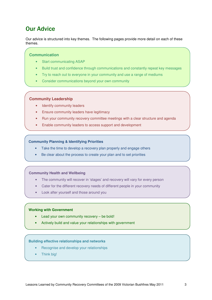# Our Advice

Our advice is structured into key themes. The following pages provide more detail on each of these themes.

# **Communication**

- **Start communicating ASAP**
- Build trust and confidence through communications and constantly repeat key messages
- Try to reach out to everyone in your community and use a range of mediums
- Consider communications beyond your own community

### **Community Leadership**

- Identify community leaders
- Ensure community leaders have legitimacy
- Run your community recovery committee meetings with a clear structure and agenda
- Enable community leaders to access support and development

#### **Community Planning & Identifying Priorities**

- Take the time to develop a recovery plan properly and engage others
- Be clear about the process to create your plan and to set priorities

# **Community Health and Wellbeing**

- The community will recover in 'stages' and recovery will vary for every person
- Cater for the different recovery needs of different people in your community
- Look after yourself and those around you

#### **Working with Government**

- Lead your own community recovery be bold!
- Actively build and value your relationships with government

### **Building effective relationships and networks**

- Recognise and develop your relationships
- Think big!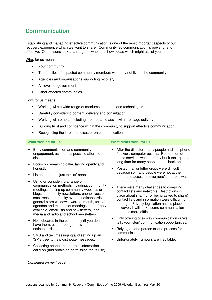# **Communication**

Establishing and managing effective communication is one of the most important aspects of our recovery experience which we want to share. Community led communication is powerful and effective. Our lessons look at a range of 'who' and 'how' ideas which might assist you.

Who, for us means:

- Your community
- The families of impacted community members who may not live in the community
- Agencies and organisations supporting recovery
- All levels of government
- Other affected communities

How, for us means:

- Working with a wide range of mediums, methods and technologies
- Carefully considering content, delivery and consultation
- Working with others, including the media, to assist with message delivery
- Building trust and confidence within the community to support effective communication
- Recognising the impact of disaster on communication

| <b>What worked for us</b>                                                                                                                                                                                                                                                                                                                                                                                                                                                                                                                                                                                                                                                                                                                                                                                                                                                                                                                                                             | What didn't work for us                                                                                                                                                                                                                                                                                                                                                                                                                                                                                                                                                                                                                                                                                                                                                                                                                                                                           |
|---------------------------------------------------------------------------------------------------------------------------------------------------------------------------------------------------------------------------------------------------------------------------------------------------------------------------------------------------------------------------------------------------------------------------------------------------------------------------------------------------------------------------------------------------------------------------------------------------------------------------------------------------------------------------------------------------------------------------------------------------------------------------------------------------------------------------------------------------------------------------------------------------------------------------------------------------------------------------------------|---------------------------------------------------------------------------------------------------------------------------------------------------------------------------------------------------------------------------------------------------------------------------------------------------------------------------------------------------------------------------------------------------------------------------------------------------------------------------------------------------------------------------------------------------------------------------------------------------------------------------------------------------------------------------------------------------------------------------------------------------------------------------------------------------------------------------------------------------------------------------------------------------|
| Early communication and community<br>engagement, as soon as possible after the<br>disaster.<br>Focus on remaining calm, talking openly and<br>honestly.<br>Listen and don't just talk 'at' people.<br>Using or considering a range of<br>$\bullet$<br>communication methods including: community<br>meetings, setting up community websites or<br>blogs, community newsletters, phone trees or<br>sms trees, community events, noticeboards,<br>general store windows, word of mouth, formal<br>agendas and minutes of meetings made freely<br>available, email lists and newsletters, local<br>media and radio and school newsletters.<br>Noticeboards in the community (if you don't<br>$\bullet$<br>have them, use a tree, get new<br>noticeboards).<br>SMS and text messaging and setting up an<br>$\bullet$<br>'SMS tree' to help distribute messages.<br>Collecting phone and address information<br>early on (and obtaining permission for its use).<br>Continued on next page | After the disaster, many people had lost phone<br>/ power / computer access. Restoration of<br>these services was a priority but it took quite a<br>long time for many people to be 'back on'.<br>Posted mail or letter drops were difficult<br>$\bullet$<br>because so many people were not at their<br>home and access to everyone's address was<br>hard to obtain.<br>There were many challenges to compiling<br>contact lists and networks. Restrictions in<br>place about sharing (or being asked to share)<br>contact lists and information were difficult to<br>manage. Privacy legislation has its place,<br>however, it will make some communication<br>methods more difficult.<br>Only offering one- way communication or 'we<br>talk, you listen' communication opportunities.<br>Relying on one person or one process for<br>communication.<br>Unfortunately, rumours are inevitable. |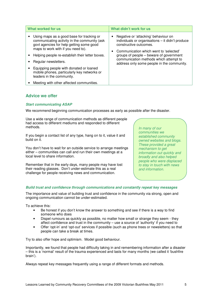| What worked for us                                                                                                                                                          | What didn't work for us                                                                                                                                      |
|-----------------------------------------------------------------------------------------------------------------------------------------------------------------------------|--------------------------------------------------------------------------------------------------------------------------------------------------------------|
| Using maps as a good base for tracking or<br>communicating activity in the community (ask<br>govt agencies for help getting some good<br>maps to work with if you need to). | Negative or 'attacking' behaviour on<br>individuals or organisations - it didn't produce<br>constructive outcomes.<br>Communication which went to 'selected' |
| Helping people re-establish their letter boxes.                                                                                                                             | groups of people - beware of government                                                                                                                      |
| Regular newsletters.                                                                                                                                                        | communication methods which attempt to<br>address only some people in the community.                                                                         |
| Equipping people with donated or loaned<br>mobile phones, particularly key networks or<br>leaders in the community.                                                         |                                                                                                                                                              |
| Meeting with other affected communities.                                                                                                                                    |                                                                                                                                                              |

# **Start communicating ASAP**

We recommend beginning communication processes as early as possible after the disaster.

Use a wide range of communication methods as different people had access to different mediums and responded to different methods.

If you begin a contact list of any type, hang on to it, value it and build on it.

You don't have to wait for an outside service to arrange meetings either – communities can call and run their own meetings at a local level to share information.

Remember that in the early days, many people may have lost their reading glasses. Don't under-estimate this as a real challenge for people receiving news and communication.

*In many of our communities we established community owned websites and blogs. These provided a great mechanism to get information out quickly and broadly and also helped people who were displaced to stay in touch with news and information.* 

# **Build trust and confidence through communications and constantly repeat key messages**

The importance and value of building trust and confidence in the community via strong, open and ongoing communication cannot be under-estimated.

To achieve this:

- Be honest if you don't know the answer to something and see if there is a way to find someone who does
- Dispel rumours as quickly as possible, no matter how small or strange they seem they affect confidence and trust in the community – use a source of 'authority' if you need to
- Offer 'opt-in' and 'opt-out' services if possible (such as phone trees or newsletters) so that people can take a break at times.

Try to also offer hope and optimism. Model good behaviour.

Importantly, we found that people had difficulty taking in and remembering information after a disaster – this is a 'normal' result of the trauma experienced and lasts for many months (we called it 'bushfire brain').

Always repeat key messages frequently using a range of different formats and methods.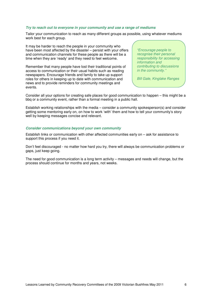### **Try to reach out to everyone in your community and use a range of mediums**

Tailor your communication to reach as many different groups as possible, using whatever mediums work best for each group.

It may be harder to reach the people in your community who have been most affected by the disaster – persist with your offers and communication channels for these people as there will be a time when they are 'ready' and they need to feel welcome.

Remember that many people have lost their traditional points of access to communication or their usual habits such as reading newspapers. Encourage friends and family to take up support roles for others in keeping up to date with communication and news and to provide reminders for community meetings and events.

*"Encourage people to recognise their personal responsibility for accessing information and contributing to discussions in the community."* 

*Bill Gale, Kinglake Ranges* 

Consider all your options for creating safe places for good communication to happen – this might be a bbq or a community event, rather than a formal meeting in a public hall.

Establish working relationships with the media – consider a community spokesperson(s) and consider getting some mentoring early on, on how to work 'with' them and how to tell your community's story well by keeping messages concise and relevant.

### **Consider communications beyond your own community**

Establish links or communication with other affected communities early on – ask for assistance to support this process if you need it.

Don't feel discouraged - no matter how hard you try, there will always be communication problems or gaps, just keep going.

The need for good communication is a long term activity – messages and needs will change, but the process should continue for months and years, not weeks.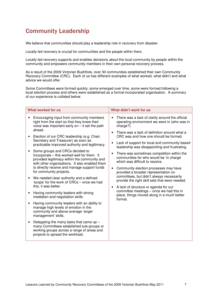# Community Leadership

We believe that communities should play a leadership role in recovery from disaster.

Locally led recovery is crucial for communities and the people within them.

Locally led recovery supports and enables decisions *about* the local community by people *within* the community and empowers community members in their own personal recovery process.

As a result of the 2009 Victorian Bushfires, over 30 communities established their own Community Recovery Committee (CRC). Each of us has different examples of what worked, what didn't and what advice we would offer.

Some Committees were formed quickly, some emerged over time, some were formed following a local election process and others were established as a formal incorporated organisation. A summary of our experience is collated below.

| <b>What worked for us</b>                                                                                                                                                                                                                                                                                                                                                                                                                                                                                                                                                                                                                                                                                                                | What didn't work for us                                                                                                                                                                                                                                                                                                                                                                                                                                                                                                                                                                                                                                                                                   |
|------------------------------------------------------------------------------------------------------------------------------------------------------------------------------------------------------------------------------------------------------------------------------------------------------------------------------------------------------------------------------------------------------------------------------------------------------------------------------------------------------------------------------------------------------------------------------------------------------------------------------------------------------------------------------------------------------------------------------------------|-----------------------------------------------------------------------------------------------------------------------------------------------------------------------------------------------------------------------------------------------------------------------------------------------------------------------------------------------------------------------------------------------------------------------------------------------------------------------------------------------------------------------------------------------------------------------------------------------------------------------------------------------------------------------------------------------------------|
| Encouraging input from community members<br>right from the start so that they knew their<br>voice was important early on $-$ it set the path<br>ahead.<br>Election of our CRC leadership (e.g. Chair,<br>Secretary and Treasurer) as soon as<br>practicable improved authority and legitimacy.<br>Some groups and CRCs decided to<br>Incorporate - this worked well for them. It<br>provided legitimacy within the community and<br>with other organisations. It also enabled them<br>to directly receive and manage support funds<br>for community projects.<br>We needed clear authority and a defined<br>٠<br>'scope' for the work of CRCs - once we had<br>this, it was better.<br>Having community leaders with strong<br>$\bullet$ | There was a lack of clarity around the official<br>operating environment we were in (who was in<br>charge?).<br>There was a lack of definition around what a<br>CRC was and how one should be formed.<br>Lack of support for local and community based<br>leadership was disappointing and frustrating.<br>There was sometimes competition within the<br>communities for who would be 'in charge'<br>which was difficult to resolve.<br>Community election processes may have<br>provided a broader representation on<br>committees, but didn't always necessarily<br>provide the right skill sets that were needed.<br>A lack of structure or agenda for our<br>committee meetings - once we had this in |
| mediation and negotiation skills.                                                                                                                                                                                                                                                                                                                                                                                                                                                                                                                                                                                                                                                                                                        | place, things moved along in a much better                                                                                                                                                                                                                                                                                                                                                                                                                                                                                                                                                                                                                                                                |
| Having community leaders with an ability to<br>$\bullet$<br>manage high levels of emotion in the<br>community and above average 'anger<br>management' skills.                                                                                                                                                                                                                                                                                                                                                                                                                                                                                                                                                                            | format.                                                                                                                                                                                                                                                                                                                                                                                                                                                                                                                                                                                                                                                                                                   |
| Delegating the many tasks that came up $-$<br>many Committees established sub-groups or<br>working groups across a range of areas and<br>projects to spread the workload.                                                                                                                                                                                                                                                                                                                                                                                                                                                                                                                                                                |                                                                                                                                                                                                                                                                                                                                                                                                                                                                                                                                                                                                                                                                                                           |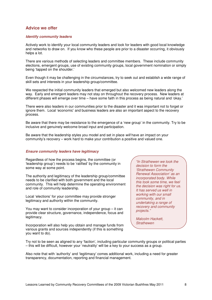# **Identify community leaders**

Actively work to identify your local community leaders and look for leaders with good local knowledge and networks to draw on. If you know who these people are prior to a disaster occurring, it obviously helps a lot.

There are various methods of selecting leaders and committee members. These include community elections, emergent groups, use of existing community groups, local government nomination or simply being 'tapped on the shoulder.'

Even though it may be challenging in the circumstances, try to seek out and establish a wide range of skill sets and interests in your leadership group/committee.

We respected the initial community leaders that emerged but also welcomed new leaders along the way. Early and emergent leaders may not stay on throughout the recovery process. New leaders at different phases will emerge over time – have some faith in this process as being natural and 'okay.'

There were also leaders in our communities prior to the disaster and it was important not to forget or ignore them. Local 'economic' and business leaders are also an important aspect to the recovery process.

Be aware that there may be resistance to the emergence of a 'new group' in the community. Try to be inclusive and genuinely welcome broad input and participation.

Be aware that the leadership styles you model and set in place *will* have an impact on your community's recovery – work hard to make your contribution a positive and valued one.

### **Ensure community leaders have legitimacy**

Regardless of how the process begins, the committee (or 'leadership group') needs to be 'ratified' by the community in some way at some point.

The authority and legitimacy of the leadership group/committee needs to be clarified with both government and the local community. This will help determine the operating environment and role of community leadership.

Local 'elections' for your committee may provide stronger legitimacy and authority within the community.

You may want to consider incorporation of your group – it can provide clear structure, governance, independence, focus and legitimacy.

Incorporation will also help you obtain and manage funds from various grants and sources independently (if this is something you want to do).

*"In Strathewen we took the decision to form the 'Strathewen Community Renewal Association' as an incorporated body. While this took some time, we feel the decision was right for us. It has served us well in working with our small community, and in undertaking a range of recovery and community projects."* 

*Malcolm Hackett, Strathewen*

Try not to be seen as aligned to any 'faction', including particular community groups or political parties – this will be difficult, however your 'neutrality' will be a key to your success as a group.

Also note that with 'authority' and 'legitimacy' comes additional work, including a need for greater transparency, documentation, reporting and financial management.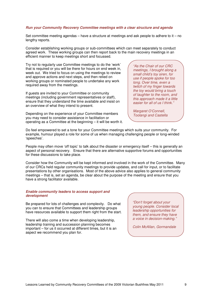### **Run your Community Recovery Committee meetings with a clear structure and agenda**

Set committee meeting agendas – have a structure at meetings and ask people to adhere to it – no lengthy reports.

Consider establishing working groups or sub-committees which can meet separately to conduct agreed work. These working groups can then report back to the main recovery meetings in an efficient manner to keep meetings short and focussed.

Try not to regularly use Committee meetings to do the 'work' that is required or you will be there for hours on end week in, week out. We tried to focus on using the meetings to review and approve actions and next steps, and then relied on working groups or nominated people to undertake any work required away from the meetings.

If guests are invited to your Committee or community meetings (including government representatives or staff), ensure that they understand the time available and insist on an overview of what they intend to present.

Depending on the experience of your Committee members you may need to consider assistance in facilitation or operating as a Committee at the beginning – it will be worth it.

*"As the Chair of our CRC meetings, I brought along a small child's toy siren, for use if people spoke for too long. Over time, even a twitch of my finger towards the toy would bring a touch of laughter to the room, and this approach made it a little easier for all of us I think."* 

*Margaret O'Connell, Toolangi and Castella* 

Do feel empowered to set a tone for your Committee meetings which suits your community. For example, humour played a role for some of us when managing challenging people or long-winded 'speeches'.

People may often move 'off topic' to talk about the disaster or emergency itself – this is generally an aspect of personal recovery. Ensure that there are alternative supportive forums and opportunities for these discussions to take place.

Consider how the Community will be kept informed and involved in the work of the Committee. Many of our CRCs held regular community meetings to provide updates, and call for input, or to facilitate presentations by other organisations. Most of the above advice also applies to general community meetings – that is, set an agenda, be clear about the purpose of the meeting and ensure that you have a strong facilitator available.

#### **Enable community leaders to access support and development**

Be prepared for lots of challenges and complexity. Do what you can to ensure that Committees and leadership groups have resources available to support them right from the start.

There will also come a time when developing leadership, leadership training and succession planning becomes important – for us it occurred at different times, but it is an aspect we recommend you plan for.

*"Don't forget about your young people. Consider local leadership opportunities for them, and ensure they have a voice in decision-making."* 

*Colin McAllan, Gormandale*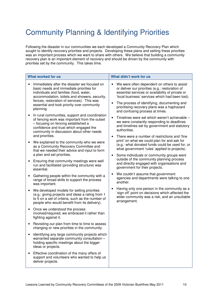# Community Planning & Identifying Priorities

Following the disaster in our communities we each developed a Community Recovery Plan which sought to identify recovery priorities and projects. Developing these plans and setting these priorities was an important process which we want to share with others. We believe that building a community recovery plan is an important element of recovery and should be driven by the community with priorities set by the community. This takes time.

|           | <b>What worked for us</b>                                                                                                                                                                                                                                                                    |           | What didn't work for us                                                                                                                                                                                                                                                                                                                |
|-----------|----------------------------------------------------------------------------------------------------------------------------------------------------------------------------------------------------------------------------------------------------------------------------------------------|-----------|----------------------------------------------------------------------------------------------------------------------------------------------------------------------------------------------------------------------------------------------------------------------------------------------------------------------------------------|
|           | Immediately after the disaster we focused on<br>basic needs and immediate priorities for<br>individuals and families (food, water,<br>accommodation, toilets and showers, security,<br>fences, restoration of services). This was<br>essential and took priority over community<br>planning. |           | We were often dependent on others to assist<br>or deliver our priorities (e.g.: restoration of<br>essential services or availability of private or<br>'local business' services which had been lost).<br>The process of identifying, documenting and<br>prioritising recovery plans was a haphazard<br>and confusing process at times. |
|           | In rural communities, support and coordination<br>of fencing work was important from the outset<br>- focusing on fencing established a<br>confidence and trust which engaged the<br>community in discussion about other needs<br>and priorities.                                             |           | Timelines were set which weren't achievable -<br>we were constantly responding to deadlines<br>and timelines set by government and statutory<br>authorities.<br>There were a number of restrictions and 'fine                                                                                                                          |
|           | We explained to the community who we were<br>as a Community Recovery Committee and<br>that we needed their advice and input to form                                                                                                                                                          |           | print' on what we could plan for and ask for<br>(e.g.: what donated funds could be used for, or<br>what government 'rules' applied to projects).                                                                                                                                                                                       |
|           | a plan and set priorities.<br>Ensuring that community meetings were well<br>run and facilitated (providing structure) was<br>essential.                                                                                                                                                      | $\bullet$ | Some individuals or community groups went<br>outside of the community planning process<br>and directly engaged with organisations and<br>government for their projects.                                                                                                                                                                |
|           | Gathering people within the community with a<br>range of broad skills to support the process<br>was important.                                                                                                                                                                               |           | We couldn't assume that government<br>agencies and departments were talking to one<br>another.                                                                                                                                                                                                                                         |
| $\bullet$ | We developed models for setting priorities<br>(e.g.: giving projects and ideas a rating from 1<br>to 5 on a set of criteria, such as the number of<br>people who would benefit from its delivery).                                                                                           |           | Having only one person in the community as a<br>'sign off' point on decisions which affected the<br>wider community was a risk, and an unsuitable<br>arrangement.                                                                                                                                                                      |
| $\bullet$ | Once we understood the process<br>involved/required, we embraced it rather than<br>fighting against it.                                                                                                                                                                                      |           |                                                                                                                                                                                                                                                                                                                                        |
|           | Revisiting our plan from time to time to assess<br>changing or new priorities in the community.                                                                                                                                                                                              |           |                                                                                                                                                                                                                                                                                                                                        |
|           | Identifying any large community projects which<br>warranted separate community consultation -<br>holding specific meetings about the bigger<br>ideas or projects.                                                                                                                            |           |                                                                                                                                                                                                                                                                                                                                        |
|           | Effective coordination of the many offers of<br>support and volunteers who wanted to help us<br>deliver projects.                                                                                                                                                                            |           |                                                                                                                                                                                                                                                                                                                                        |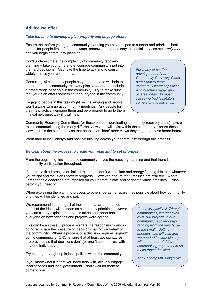# **Take the time to develop a plan properly and engage others**

Ensure that before you begin community planning you have helped to support and prioritise 'basic needs' for people first – food and water, somewhere safe to stay, essential services etc – *only then* can you begin community planning.

Don't underestimate the complexity of community recovery planning – take your time and encourage community input into the hard decisions. Also take the time to talk and to consult widely across your community.

Consulting with as many people as you are able to will help to ensure that the community recovery plan supports and includes a broad range of people in the community. Try to make sure that your plan offers something for everyone in the community.

Engaging people in this task might be challenging and people won't always turn up at community meetings. Ask people for their help, actively engage them and be prepared to go to them in a calmer, quiet way if it will help.

*For many of us, the development of our Community Recovery Plans necessitated large community workshops filled with butchers paper and diverse ideas. In most cases we had facilitators come along to assist us.* 

Community Recovery Committees (or those people coordinating community recovery plans) have a role in communicating the many different views that will exist within the community – share these views across the community so that people can 'hear' other views they might not have heard before.

Work hard to instil energy and positive thinking across your community through this process.

### **Be clear about the process to create your plan and to set priorities**

From the beginning, insist that the community drives the recovery planning and that there is community participation throughout.

If there is a fixed process or limited resources, don't waste time and energy fighting this, use whatever you've got and focus on recovery progress. However, ensure that timelines are realistic – where unreasonable deadlines are imposed on you, communicate and negotiate viable timelines. 'Push back' if you need to.

When explaining the planning process to others, be as transparent as possible about how community priorities will be identified and set.

We recommend capturing all of the ideas that are presented – not all of the ideas will be seen as community priorities, however you can clearly explain the process taken and report back to everyone on how priorities and projects were agreed.

This can be a stressful process – share the responsibility and in doing so, share the pressure of 'decision-making' on behalf of the community. Where a process or a decision requires 'sign-off' by the community or CRC, ensure that at least two signatures are provided so that decisions don't (or aren't seen to) rest with any one individual.

Try not to get caught up in local politics within the community.

If you know what it is that you need help with, actively engage local services and local government – don't wait for them to come to you.

*"In the Marysville & Triangle communities, we identified over 100 projects in our community recovery plan ranging from the very large to the small. Setting priorities was difficult, and we needed to work closely with a number of different community groups to help us make those decisions."* 

*Tony Thompson, Marysville*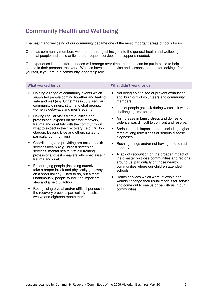# Community Health and Wellbeing

The health and wellbeing of our community became one of the most important areas of focus for us.

Often, as community members we had the strongest insight into the general health and wellbeing of our local people and could anticipate or request services and supports needed.

Our experience is that different needs will emerge over time and much can be put in place to help people in their personal recovery. We also have some advice and 'lessons learned' for looking after yourself, if you are in a community leadership role.

| What worked for us                                                                                                                                                                                                                         |                        | What didn't work for us                                                                                                                                                                                                                        |
|--------------------------------------------------------------------------------------------------------------------------------------------------------------------------------------------------------------------------------------------|------------------------|------------------------------------------------------------------------------------------------------------------------------------------------------------------------------------------------------------------------------------------------|
| Holding a range of community events which<br>supported people coming together and feeling<br>safe and well (e.g. Christmas in July, regular<br>community dinners, stitch and chat groups,<br>women's getaways and men's events).           | $\bullet$<br>$\bullet$ | Not being able to see or prevent exhaustion<br>and 'burn out' of volunteers and community<br>members.<br>Lots of people got sick during winter $-$ it was a<br>challenging time for us.                                                        |
| Having regular visits from qualified and<br>professional experts on disaster recovery,<br>trauma and grief talk with the community on<br>what to expect in their recovery. (e.g. Dr Rob<br>Gordon, Beyond Blue and others suited to        | $\bullet$<br>$\bullet$ | An increase in family stress and domestic<br>violence was difficult to confront and resolve.<br>Serious health impacts arose, including higher<br>rates of long term illness or serious disease                                                |
| particular communities)<br>Coordinating and providing pro-active health<br>services locally (e.g.: breast screening<br>services, mental health first aid training,<br>professional guest speakers who specialise in                        | $\bullet$              | diagnoses.<br>Rushing things and/or not having time to rest<br>properly.<br>A lack of recognition on the broader impact of                                                                                                                     |
| trauma and grief).<br>Encouraging people (including ourselves!) to<br>take a proper break and physically get away<br>on a short holiday. Hard to do, but almost<br>unanimously, people found it an important<br>step and a helpful action. |                        | the disaster on those communities and regions<br>around us, particularly on those nearby<br>communities where our children attended<br>schools.<br>Health services which were inflexible and<br>wouldn't change their usual models for service |
| Recognising pivotal and/or difficult periods in<br>the recovery process, particularly the six,<br>twelve and eighteen month mark.                                                                                                          |                        | and come out to see us or be with us in our<br>communities.                                                                                                                                                                                    |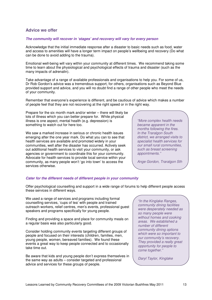#### **The community will recover in 'stages' and recovery will vary for every person**

Acknowledge that the initial immediate response after a disaster to basic needs such as food, water and access to amenities will have a longer term impact on people's wellbeing and recovery (Do what can be done to avoid adding to the trauma).

Emotional well-being will vary within your community at different times. We recommend taking some time to learn about the physiological and psychological effects of trauma and disaster (such as the many impacts of adrenalin).

Take advantage of a range of available professionals and organisations to help you. For some of us, Dr Rob Gordon's advice was a tremendous support, for others, organisations such as Beyond Blue provided support and advice, and you will no doubt find a range of other people who meet the needs of your community.

Remember that everyone's experience is different, and be cautious of advice which makes a number of people feel that they are not recovering at the right speed or in the right way.

Prepare for the six month mark and/or winter – there will likely be lots of illness which you can better prepare for. While physical illness is one aspect, mental health (e.g. depression) is something to watch out for here too.

We saw a marked increase in serious or chronic health issues emerging after the one year mark. Do what you can to see that health services are available and promoted widely in your communities, well after the disaster has occurred. Actively seek out additional health services to visit your community, or ask agencies or government to coordinate this for your community. Advocate for health services to provide local service within your community, as many people won't 'go into town' to access the services otherwise.

*"More complex health needs became apparent in the months following the fires. In the Traralgon South district, we arranged visits to specialist health services for our small rural communities, such as breast screening appointments."* 

*Ange Gordon, Traralgon Sth* 

# **Cater for the different needs of different people in your community**

Offer psychological counselling and support in a wide range of forums to help different people access these services in different ways.

We used a range of services and programs including formal counselling services, 'cups of tea' with people and trained outreach workers, relief centres, men's events, professional guest speakers and programs specifically for young people.

Finding and providing a space and place for community meals on a regular basis was also particularly good.

Consider holding community events targeting different groups of people and focused on their interests (children, families, men, young people, women, bereaved families). We found these events a great way to keep people connected and to occasionally take time out.

Be aware that kids and young people don't express themselves in the same way as adults – consider targeted and professional advice and services for these groups of people.

*"In the Kinglake Ranges, community dining facilities were desperately needed as so many people were without homes and cooking areas. We established a number of different community dining options which were so important to our community's recovery. They provided a really great opportunity for people to come together."* 

*Daryl Taylor, Kinglake*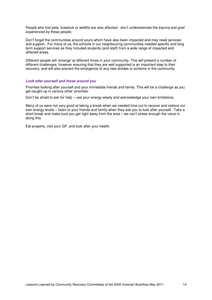People who lost pets, livestock or wildlife are also affected - don't underestimate the trauma and grief experienced by these people.

Don't forget the communities around yours which have also been impacted and may need services and support. For many of us, the schools in our neighbouring communities needed specific and long term support services as they included students (and staff) from a wide range of impacted and affected areas.

Different people will 'emerge' at different times in your community. This will present a number of different challenges, however ensuring that they are well supported is an important step to their recovery, and will also prevent the emergence of any new divides or schisms in the community.

### **Look after yourself and those around you**

Prioritise looking after yourself and your immediate friends and family. This will be a challenge as you get caught up in various other 'priorities'.

Don't be afraid to ask for help – use your energy wisely and acknowledge your own limitations.

Many of us were not very good at taking a break when we needed time out to recover and restore our own energy levels – listen to your friends and family when they ask you to look after yourself. Take a short break and make sure you get right away from the area – we can't stress enough the value in doing this.

Eat properly, visit your GP, and look after your health.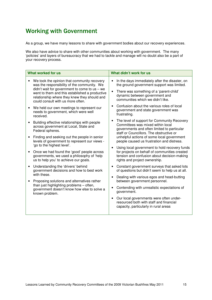# Working with Government

As a group, we have many lessons to share with government bodies about our recovery experiences.

We also have advice to share with other communities about working with government. The many 'policies' and layers of bureaucracy that we had to tackle and manage will no doubt also be a part of your recovery process.

| <b>What worked for us</b>                                                                                                                                                                                                                                                                                                                                                                                                                                                                                                                                                                                                                                                                                                                                               |                                     | What didn't work for us                                                                                                                                                                                                                                                                                                                                                                                                                                                                                                                                                                                                                                                                                                                                                          |
|-------------------------------------------------------------------------------------------------------------------------------------------------------------------------------------------------------------------------------------------------------------------------------------------------------------------------------------------------------------------------------------------------------------------------------------------------------------------------------------------------------------------------------------------------------------------------------------------------------------------------------------------------------------------------------------------------------------------------------------------------------------------------|-------------------------------------|----------------------------------------------------------------------------------------------------------------------------------------------------------------------------------------------------------------------------------------------------------------------------------------------------------------------------------------------------------------------------------------------------------------------------------------------------------------------------------------------------------------------------------------------------------------------------------------------------------------------------------------------------------------------------------------------------------------------------------------------------------------------------------|
| We took the opinion that community recovery<br>was the responsibility of the community. We<br>didn't wait for government to come to $us - we$<br>went to them and this established a productive<br>relationship where they knew they should and<br>could consult with us more often.<br>We held our own meetings to represent our<br>needs to government, which were well<br>received.<br>Building effective relationships with people<br>across government at Local, State and<br>Federal spheres.<br>Finding and seeking out the people in senior<br>levels of government to represent our views -<br>'go to the highest level'.<br>Once we had found the 'good' people across<br>governments, we used a philosophy of 'help<br>us to help you' to achieve our goals. | $\bullet$<br>$\bullet$<br>$\bullet$ | In the days immediately after the disaster, on<br>the ground government support was limited.<br>There was something of a 'parent-child'<br>dynamic between government and<br>communities which we didn't like.<br>Confusion about the various roles of local<br>government and state government was<br>frustrating.<br>The level of support for Community Recovery<br>Committees was mixed within local<br>governments and often limited to particular<br>staff or Councillors. The obstructive or<br>unhelpful actions of some local government<br>people caused us frustration and distress.<br>Using local government to hold recovery funds<br>for projects on behalf of communities created<br>tension and confusion about decision-making<br>rights and project ownership. |
| Understanding the 'drivers' behind<br>government decisions and how to best work<br>with these.                                                                                                                                                                                                                                                                                                                                                                                                                                                                                                                                                                                                                                                                          | $\bullet$                           | Constant government surveys that asked lots<br>of questions but didn't seem to help us at all.<br>Dealing with various egos and head-butting                                                                                                                                                                                                                                                                                                                                                                                                                                                                                                                                                                                                                                     |
| Proposing solutions and alternatives rather<br>than just highlighting problems - often,<br>government doesn't know how else to solve a<br>known problem.                                                                                                                                                                                                                                                                                                                                                                                                                                                                                                                                                                                                                |                                     | between government personnel.<br>Contending with unrealistic expectations of<br>government.<br>Our local governments were often under-<br>resourced both with staff and financial<br>capacity, particularly in rural areas                                                                                                                                                                                                                                                                                                                                                                                                                                                                                                                                                       |
|                                                                                                                                                                                                                                                                                                                                                                                                                                                                                                                                                                                                                                                                                                                                                                         |                                     |                                                                                                                                                                                                                                                                                                                                                                                                                                                                                                                                                                                                                                                                                                                                                                                  |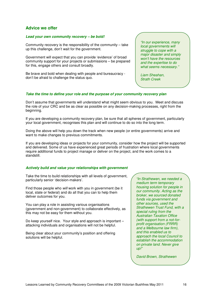# **Lead your own community recovery – be bold!**

Community recovery is the responsibility of the community – take up this challenge, don't wait for the government.

Government will expect that you can provide 'evidence' of broad community support for your projects or submissions – be prepared for this, engage others and consult broadly.

Be brave and bold when dealing with people and bureaucracy don't be afraid to challenge the status quo.

*"In our experience, many local governments will struggle to cope with a major disaster and simply won't have the resources and the expertise to do what seems necessary."* 

*Liam Sheahan, Strath Creek* 

# **Take the time to define your role and the purpose of your community recovery plan**

Don't assume that governments will understand what might seem obvious to you. Meet and discuss the role of your CRC and be as clear as possible on any decision-making processes, right from the beginning.

If you are developing a community recovery plan, be sure that all spheres of government, particularly your local government, recognises this plan and will continue to do so into the long term.

Doing the above will help you down the track when new people (or entire governments) arrive and want to make changes to previous commitments.

If you are developing ideas or projects for your community, consider how the project will be supported and delivered. Some of us have experienced great periods of frustration where local governments require additional funds to project manage or deliver on the project, and the work comes to a standstill.

### **Actively build and value your relationships with government**

Take the time to build relationships with all levels of government, particularly senior 'decision-makers'.

Find those people who *will* work with you in government (be it local, state or federal) and do all that you can to help them deliver outcomes for you.

You can play a role in assisting various organisations (government and non-government) to collaborate effectively, as this may not be easy for them without you.

Do keep yourself nice. Your style and approach is important – attacking individuals and organisations will not be helpful.

Being clear about your community's position and offering solutions will be helpful.

*"In Strathewen, we needed a medium term temporary housing solution for people in our community. Acting as the broker, we sourced donated funds via government and other sources, used the Strathewen Trust Fund, with a special ruling from the Australian Taxation Office (with support from a not-forprofit organisation (FRRR) and a Melbourne law firm), and this enabled us to approach the local Council to establish the accommodation on private land. Never give up!"* 

*David Brown, Strathewen*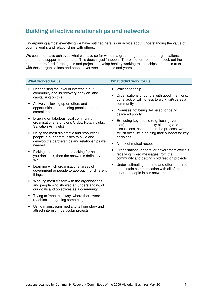# Building effective relationships and networks

Underpinning almost everything we have outlined here is our advice about understanding the value of your networks and relationships with others.

We could not have achieved what we have so far without a great range of partners, organisations, donors, and support from others. This doesn't just 'happen'. There is effort required to seek out the right partners for different goals and projects, develop healthy working relationships, and build trust with these organisations and people over weeks, months and years.

| Recognising the level of interest in our<br>Waiting for help.<br>$\bullet$<br>٠<br>community and its recovery early on, and<br>Organisations or donors with good intentions,<br>capitalising on this.<br>but a lack of willingness to work with us as a<br>Actively following up on offers and<br>community.<br>$\bullet$<br>opportunities, and holding people to their<br>Promises not being delivered, or being<br>commitments.<br>delivered poorly.<br>Drawing on fabulous local community<br>Excluding key people (e.g. local government<br>organisations (e.g. Lions Clubs, Rotary clubs,<br>staff) from our community planning and<br>Salvation Army etc)<br>discussions, as later on in the process, we<br>struck difficulty in gaining their support for key<br>Using the most diplomatic and resourceful<br>$\bullet$<br>people in our communities to build and<br>decisions.<br>develop the partnerships and relationships we<br>A lack of mutual respect.<br>$\bullet$<br>needed.<br>Organisations, donors, or government officials<br>Picking up the phone and asking for help. 'If<br>$\bullet$<br>receiving mixed messages from the<br>you don't ask, then the answer is definitely<br>community and getting 'cold feet' on projects.<br>'No".<br>Under-estimating the time and effort required<br>Learning which organisations, areas of<br>to maintain communication with all of the<br>government or people to approach for different<br>different people in our networks.<br>things.<br>Working most closely with the organisations<br>and people who showed an understanding of<br>our goals and objectives as a community.<br>Trying to 'meet half way' where there were<br>$\bullet$<br>roadblocks to getting something done.<br>Using mainstream media to tell our story and<br>$\bullet$<br>attract interest in particular projects. |
|-------------------------------------------------------------------------------------------------------------------------------------------------------------------------------------------------------------------------------------------------------------------------------------------------------------------------------------------------------------------------------------------------------------------------------------------------------------------------------------------------------------------------------------------------------------------------------------------------------------------------------------------------------------------------------------------------------------------------------------------------------------------------------------------------------------------------------------------------------------------------------------------------------------------------------------------------------------------------------------------------------------------------------------------------------------------------------------------------------------------------------------------------------------------------------------------------------------------------------------------------------------------------------------------------------------------------------------------------------------------------------------------------------------------------------------------------------------------------------------------------------------------------------------------------------------------------------------------------------------------------------------------------------------------------------------------------------------------------------------------------------------------------------------------------------------------------------------------------------------|
|                                                                                                                                                                                                                                                                                                                                                                                                                                                                                                                                                                                                                                                                                                                                                                                                                                                                                                                                                                                                                                                                                                                                                                                                                                                                                                                                                                                                                                                                                                                                                                                                                                                                                                                                                                                                                                                             |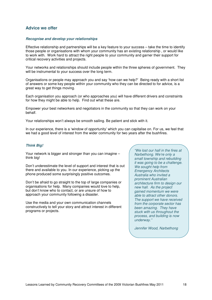# **Recognise and develop your relationships**

Effective relationship and partnerships will be a key feature to your success – take the time to identify those people or organisations with whom your community has an existing relationship , or would like to work with. Work hard to attract the right people to your community and garner their support for critical recovery activities and projects.

Your networks and relationships should include people within the three spheres of government. They will be instrumental to your success over the long term.

Organisations or people may approach you and say 'how can we help?' Being ready with a short list of answers or some key people within your community who they can be directed to for advice, is a great way to get things moving.

Each organisation you approach (or who approaches you) will have different drivers and constraints for how they might be able to help. Find out what these are.

Empower your best networkers and negotiators in the community so that they can work on your behalf.

Your relationships won't always be smooth sailing. Be patient and stick with it.

In our experience, there is a 'window of opportunity' which you can capitalise on. For us, we feel that we had a good level of interest from the wider community for two years after the bushfires.

# **Think Big!**

Your network is bigger and stronger than you can imagine – think big!

Don't underestimate the level of support and interest that is out there and available to you. In our experience, picking up the phone produced some surprisingly positive outcomes.

Don't be afraid to go straight to the top of large companies or organisations for help. Many companies would love to help, but don't know who to contact, or are unsure of how to approach your community following a disaster.

Use the media and your own communication channels constructively to tell your story and attract interest in different programs or projects.

*"We lost our hall in the fires at Narbethong. We're only a small township and rebuilding it was going to be a challenge. We sought help from Emergency Architects Australia who invited a prominent Australian architecture firm to design our new hall. As the project gained momentum we were able to attract other donors. The support we have received from the corporate sector has been amazing. They have stuck with us throughout the process, and building is now underway."* 

*Jennifer Wood, Narbethong*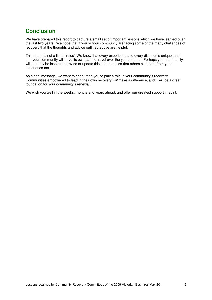# **Conclusion**

We have prepared this report to capture a small set of important lessons which we have learned over the last two years. We hope that if you or your community are facing some of the many challenges of recovery that the thoughts and advice outlined above are helpful.

This report is not a list of 'rules'. We know that every experience and every disaster is unique, and that your community will have its own path to travel over the years ahead. Perhaps your community will one day be inspired to revise or update this document, so that others can learn from your experience too.

As a final message, we want to encourage you to play a role in your community's recovery. Communities empowered to lead in their own recovery *will* make a difference, and it will be a great foundation for your community's renewal.

We wish you well in the weeks, months and years ahead, and offer our greatest support in spirit.